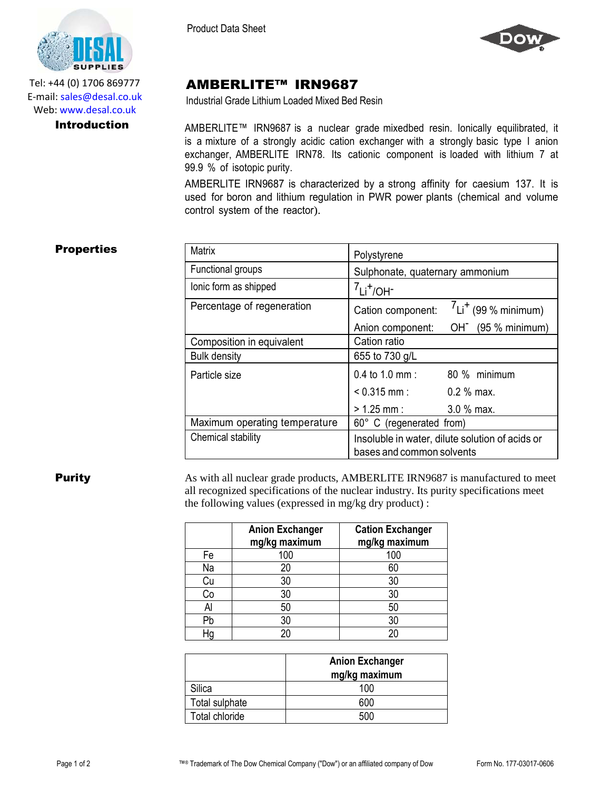

Tel: +44 (0) 1706 869777 E‐mail: sales@desal.co.uk Web: www.desal.co.uk

Product Data Sheet



# AMBERLITE™ IRN9687

Industrial Grade Lithium Loaded Mixed Bed Resin

**Introduction** AMBERLITE™ IRN9687 is a nuclear grade mixedbed resin. Ionically equilibrated, it is a mixture of a strongly acidic cation exchanger with a strongly basic type I anion exchanger, AMBERLITE IRN78. Its cationic component is loaded with lithium 7 at 99.9 % of isotopic purity.

> AMBERLITE IRN9687 is characterized by a strong affinity for caesium 137. It is used for boron and lithium regulation in PWR power plants (chemical and volume control system of the reactor).

## **Properties**

| <b>Matrix</b>                 | Polystyrene                                                                  |                                   |
|-------------------------------|------------------------------------------------------------------------------|-----------------------------------|
| Functional groups             | Sulphonate, quaternary ammonium                                              |                                   |
| lonic form as shipped         | $7Li^{+}/OH^{-}$                                                             |                                   |
| Percentage of regeneration    | Cation component:                                                            | $L_1$ <sup>+</sup> (99 % minimum) |
|                               | Anion component:                                                             | $OH^-$ (95 % minimum)             |
| Composition in equivalent     | Cation ratio                                                                 |                                   |
| <b>Bulk density</b>           | 655 to 730 g/L                                                               |                                   |
| Particle size                 | $0.4$ to 1.0 mm :                                                            | 80 % minimum                      |
|                               | $< 0.315$ mm :                                                               | $0.2\%$ max.                      |
|                               | $> 1.25$ mm :                                                                | $3.0\%$ max.                      |
| Maximum operating temperature | 60° C (regenerated from)                                                     |                                   |
| Chemical stability            | Insoluble in water, dilute solution of acids or<br>bases and common solvents |                                   |

**Purity** As with all nuclear grade products, AMBERLITE IRN9687 is manufactured to meet all recognized specifications of the nuclear industry. Its purity specifications meet the following values (expressed in mg/kg dry product) :

|    | <b>Anion Exchanger</b><br>mg/kg maximum | <b>Cation Exchanger</b><br>mg/kg maximum |
|----|-----------------------------------------|------------------------------------------|
| Fe | 100                                     | 100                                      |
| Na | 20                                      | 60                                       |
| Cu | 30                                      | 30                                       |
| Сo | 30                                      | 30                                       |
| Al | 50                                      | 50                                       |
| Pb | 30                                      | 30                                       |
|    | 20                                      | 20                                       |

|                | <b>Anion Exchanger</b><br>mg/kg maximum |
|----------------|-----------------------------------------|
| Silica         | 100                                     |
| Total sulphate | 600                                     |
| Total chloride | 500                                     |